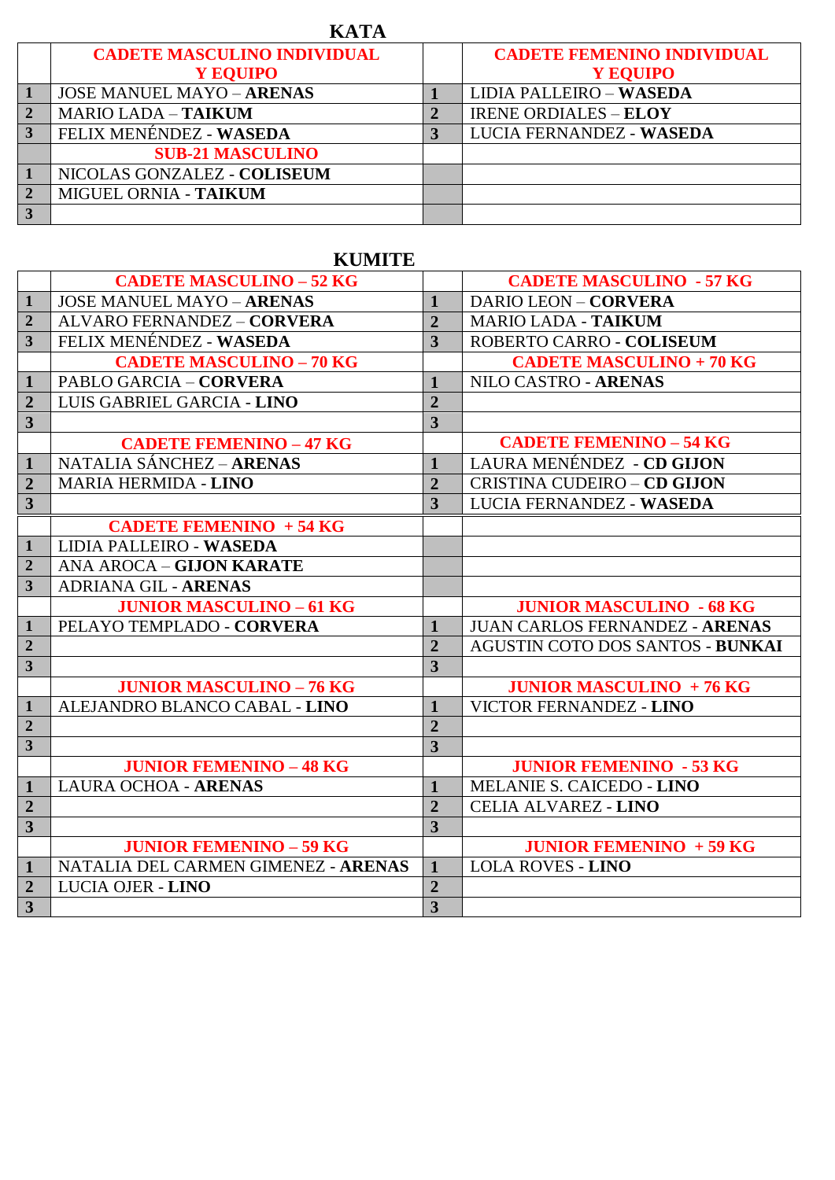| <b>KATA</b> |                                    |  |                                   |  |  |
|-------------|------------------------------------|--|-----------------------------------|--|--|
|             | <b>CADETE MASCULINO INDIVIDUAL</b> |  | <b>CADETE FEMENINO INDIVIDUAL</b> |  |  |
|             | Y EQUIPO                           |  | Y EQUIPO                          |  |  |
|             | <b>JOSE MANUEL MAYO - ARENAS</b>   |  | <b>LIDIA PALLEIRO - WASEDA</b>    |  |  |
|             | <b>MARIO LADA - TAIKUM</b>         |  | <b>IRENE ORDIALES - ELOY</b>      |  |  |
|             | FELIX MENÉNDEZ - WASEDA            |  | LUCIA FERNANDEZ - WASEDA          |  |  |
|             | <b>SUB-21 MASCULINO</b>            |  |                                   |  |  |
|             | NICOLAS GONZALEZ - COLISEUM        |  |                                   |  |  |
|             | MIGUEL ORNIA - TAIKUM              |  |                                   |  |  |
|             |                                    |  |                                   |  |  |

## **KUMITE**

|                         | <b>CADETE MASCULINO - 52 KG</b>     |                         | <b>CADETE MASCULINO - 57 KG</b>       |
|-------------------------|-------------------------------------|-------------------------|---------------------------------------|
| $\mathbf{1}$            | <b>JOSE MANUEL MAYO - ARENAS</b>    | $\mathbf{1}$            | <b>DARIO LEON - CORVERA</b>           |
| $\overline{2}$          | ALVARO FERNANDEZ - CORVERA          | $\overline{2}$          | <b>MARIO LADA - TAIKUM</b>            |
| $\overline{\mathbf{3}}$ | FELIX MENÉNDEZ - WASEDA             | $\overline{3}$          | ROBERTO CARRO - COLISEUM              |
|                         | <b>CADETE MASCULINO - 70 KG</b>     |                         | <b>CADETE MASCULINO + 70 KG</b>       |
| $\mathbf{1}$            | <b>PABLO GARCIA - CORVERA</b>       | $\mathbf{1}$            | NILO CASTRO - ARENAS                  |
| $\overline{2}$          | LUIS GABRIEL GARCIA - LINO          | $\overline{2}$          |                                       |
| $\overline{\mathbf{3}}$ |                                     | $\overline{3}$          |                                       |
|                         | <b>CADETE FEMENINO - 47 KG</b>      |                         | <b>CADETE FEMENINO - 54 KG</b>        |
| $\mathbf{1}$            | NATALIA SÁNCHEZ - ARENAS            | $\mathbf{1}$            | LAURA MENÉNDEZ - CD GIJON             |
| $\overline{2}$          | <b>MARIA HERMIDA - LINO</b>         | $\overline{2}$          | <b>CRISTINA CUDEIRO - CD GIJON</b>    |
| $\overline{\mathbf{3}}$ |                                     | $\overline{\mathbf{3}}$ | LUCIA FERNANDEZ - WASEDA              |
|                         | <b>CADETE FEMENINO + 54 KG</b>      |                         |                                       |
| $\mathbf{1}$            | LIDIA PALLEIRO - WASEDA             |                         |                                       |
| $\overline{2}$          | ANA AROCA - GIJON KARATE            |                         |                                       |
| $\overline{\mathbf{3}}$ | <b>ADRIANA GIL - ARENAS</b>         |                         |                                       |
|                         | <b>JUNIOR MASCULINO - 61 KG</b>     |                         | <b>JUNIOR MASCULINO - 68 KG</b>       |
| $\mathbf{1}$            | PELAYO TEMPLADO - CORVERA           | $\mathbf{1}$            | <b>JUAN CARLOS FERNANDEZ - ARENAS</b> |
| $\overline{2}$          |                                     | $\overline{2}$          | AGUSTIN COTO DOS SANTOS - BUNKAI      |
| $\overline{\mathbf{3}}$ |                                     | $\overline{\mathbf{3}}$ |                                       |
|                         | <b>JUNIOR MASCULINO - 76 KG</b>     |                         | <b>JUNIOR MASCULINO + 76 KG</b>       |
| $\mathbf{1}$            | ALEJANDRO BLANCO CABAL - LINO       | $\mathbf{1}$            | VICTOR FERNANDEZ - LINO               |
| $\overline{2}$          |                                     | $\overline{2}$          |                                       |
| $\overline{\mathbf{3}}$ |                                     | $\overline{\mathbf{3}}$ |                                       |
|                         | <b>JUNIOR FEMENINO - 48 KG</b>      |                         | <b>JUNIOR FEMENINO - 53 KG</b>        |
| $\mathbf{1}$            | <b>LAURA OCHOA - ARENAS</b>         | $\mathbf{1}$            | MELANIE S. CAICEDO - LINO             |
| $\overline{2}$          |                                     | $\overline{2}$          | <b>CELIA ALVAREZ - LINO</b>           |
| $\overline{\mathbf{3}}$ |                                     | $\overline{3}$          |                                       |
|                         | <b>JUNIOR FEMENINO - 59 KG</b>      |                         | <b>JUNIOR FEMENINO + 59 KG</b>        |
| $\mathbf{1}$            | NATALIA DEL CARMEN GIMENEZ - ARENAS | $\mathbf{1}$            | <b>LOLA ROVES - LINO</b>              |
| $\overline{2}$          | LUCIA OJER - LINO                   | $\overline{2}$          |                                       |
| $\overline{\mathbf{3}}$ |                                     | $\overline{3}$          |                                       |